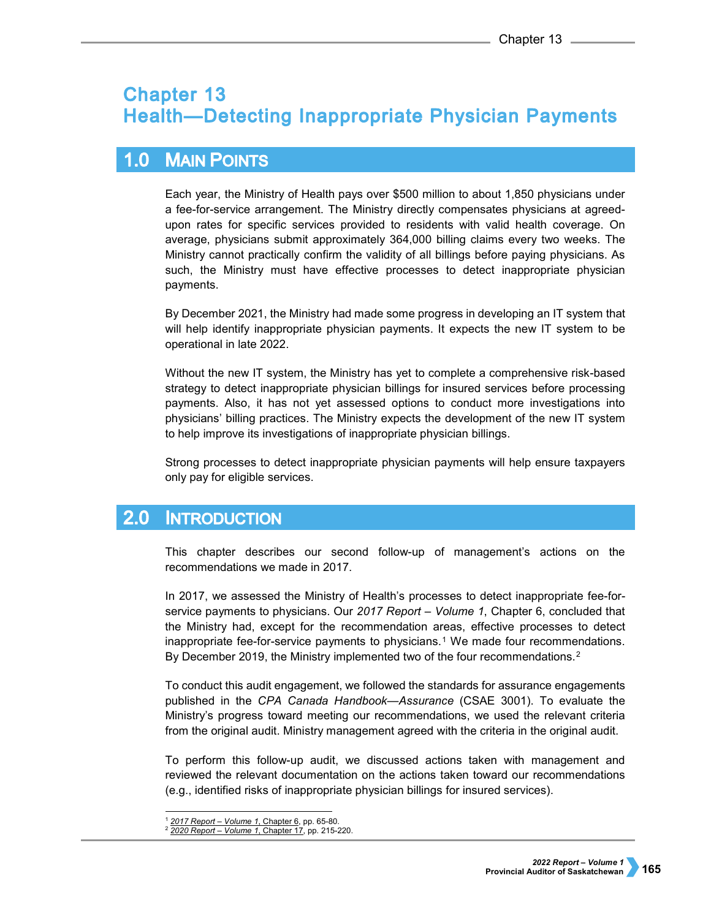# **Chapter 13 Health-Detecting Inappropriate Physician Payments**

#### $1.0$ **MAIN POINTS**

Each year, the Ministry of Health pays over \$500 million to about 1,850 physicians under a fee-for-service arrangement. The Ministry directly compensates physicians at agreedupon rates for specific services provided to residents with valid health coverage. On average, physicians submit approximately 364,000 billing claims every two weeks. The Ministry cannot practically confirm the validity of all billings before paying physicians. As such, the Ministry must have effective processes to detect inappropriate physician payments.

By December 2021, the Ministry had made some progress in developing an IT system that will help identify inappropriate physician payments. It expects the new IT system to be operational in late 2022.

Without the new IT system, the Ministry has yet to complete a comprehensive risk-based strategy to detect inappropriate physician billings for insured services before processing payments. Also, it has not yet assessed options to conduct more investigations into physicians' billing practices. The Ministry expects the development of the new IT system to help improve its investigations of inappropriate physician billings.

Strong processes to detect inappropriate physician payments will help ensure taxpayers only pay for eligible services.

#### $2.0$ **INTRODUCTION**

This chapter describes our second follow-up of management's actions on the recommendations we made in 2017.

In 2017, we assessed the Ministry of Health's processes to detect inappropriate fee-forservice payments to physicians. Our *2017 Report – Volume 1*, Chapter 6, concluded that the Ministry had, except for the recommendation areas, effective processes to detect inappropriate fee-for-service payments to physicians.<sup>[1](#page-0-0)</sup> We made four recommendations. By December 2019, the Ministry implemented two of the four recommendations.<sup>2</sup>

To conduct this audit engagement, we followed the standards for assurance engagements published in the *CPA Canada Handbook—Assurance* (CSAE 3001). To evaluate the Ministry's progress toward meeting our recommendations, we used the relevant criteria from the original audit. Ministry management agreed with the criteria in the original audit.

To perform this follow-up audit, we discussed actions taken with management and reviewed the relevant documentation on the actions taken toward our recommendations (e.g., identified risks of inappropriate physician billings for insured services).

 <sup>1</sup> *[2017 Report – Volume 1](https://auditor.sk.ca/pub/publications/public_reports/2017/Volume_1/06_Health_Physician%20Payments.pdf)*, Chapter 6, pp. 65-80.

<span id="page-0-1"></span><span id="page-0-0"></span><sup>2</sup> *[2020 Report – Volume 1](https://auditor.sk.ca/pub/publications/public_reports/2020/Volume_1/CH%2017%20-%20Health%C3%A2%E2%82%AC%E2%80%9DDetecting%20Inappropriate%20Physician%20Payments.pdf)*, Chapter 17, pp. 215-220.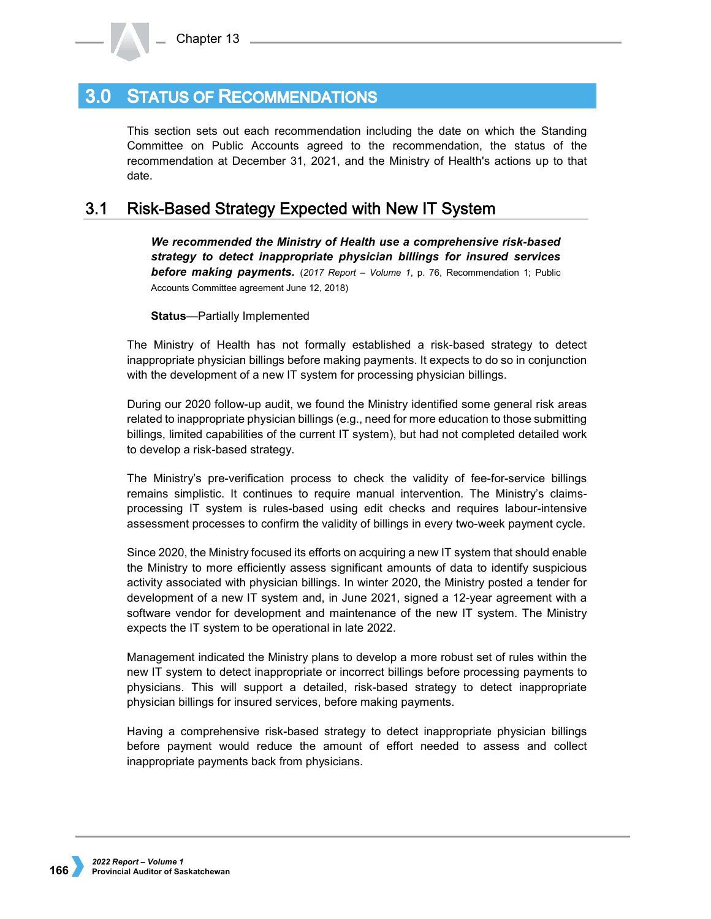## **3.0 STATUS OF RECOMMENDATIONS**

This section sets out each recommendation including the date on which the Standing Committee on Public Accounts agreed to the recommendation, the status of the recommendation at December 31, 2021, and the Ministry of Health's actions up to that date.

#### **Risk-Based Strategy Expected with New IT System**  $3.1$

*We recommended the Ministry of Health use a comprehensive risk-based strategy to detect inappropriate physician billings for insured services before making payments.* (*2017 Report – Volume 1*, p. 76, Recommendation 1; Public Accounts Committee agreement June 12, 2018)

**Status**—Partially Implemented

The Ministry of Health has not formally established a risk-based strategy to detect inappropriate physician billings before making payments. It expects to do so in conjunction with the development of a new IT system for processing physician billings.

During our 2020 follow-up audit, we found the Ministry identified some general risk areas related to inappropriate physician billings (e.g., need for more education to those submitting billings, limited capabilities of the current IT system), but had not completed detailed work to develop a risk-based strategy.

The Ministry's pre-verification process to check the validity of fee-for-service billings remains simplistic. It continues to require manual intervention. The Ministry's claimsprocessing IT system is rules-based using edit checks and requires labour-intensive assessment processes to confirm the validity of billings in every two-week payment cycle.

Since 2020, the Ministry focused its efforts on acquiring a new IT system that should enable the Ministry to more efficiently assess significant amounts of data to identify suspicious activity associated with physician billings. In winter 2020, the Ministry posted a tender for development of a new IT system and, in June 2021, signed a 12-year agreement with a software vendor for development and maintenance of the new IT system. The Ministry expects the IT system to be operational in late 2022.

Management indicated the Ministry plans to develop a more robust set of rules within the new IT system to detect inappropriate or incorrect billings before processing payments to physicians. This will support a detailed, risk-based strategy to detect inappropriate physician billings for insured services, before making payments.

Having a comprehensive risk-based strategy to detect inappropriate physician billings before payment would reduce the amount of effort needed to assess and collect inappropriate payments back from physicians.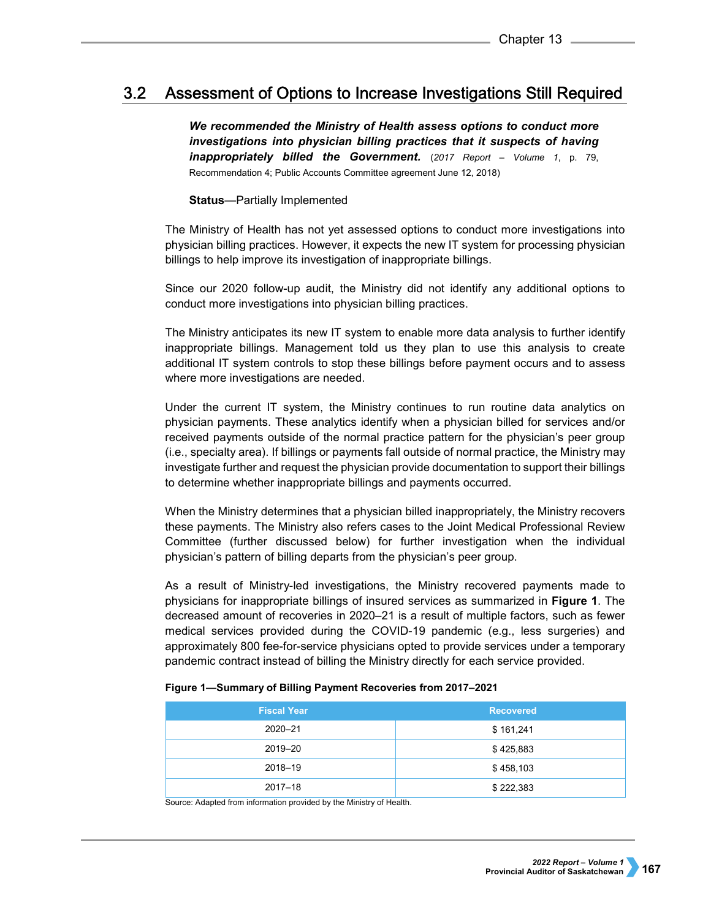#### $3.2<sub>2</sub>$ Assessment of Options to Increase Investigations Still Required

*We recommended the Ministry of Health assess options to conduct more investigations into physician billing practices that it suspects of having inappropriately billed the Government.* (*2017 Report – Volume 1*, p. 79, Recommendation 4; Public Accounts Committee agreement June 12, 2018)

## **Status**—Partially Implemented

The Ministry of Health has not yet assessed options to conduct more investigations into physician billing practices. However, it expects the new IT system for processing physician billings to help improve its investigation of inappropriate billings.

Since our 2020 follow-up audit, the Ministry did not identify any additional options to conduct more investigations into physician billing practices.

The Ministry anticipates its new IT system to enable more data analysis to further identify inappropriate billings. Management told us they plan to use this analysis to create additional IT system controls to stop these billings before payment occurs and to assess where more investigations are needed.

Under the current IT system, the Ministry continues to run routine data analytics on physician payments. These analytics identify when a physician billed for services and/or received payments outside of the normal practice pattern for the physician's peer group (i.e., specialty area). If billings or payments fall outside of normal practice, the Ministry may investigate further and request the physician provide documentation to support their billings to determine whether inappropriate billings and payments occurred.

When the Ministry determines that a physician billed inappropriately, the Ministry recovers these payments. The Ministry also refers cases to the Joint Medical Professional Review Committee (further discussed below) for further investigation when the individual physician's pattern of billing departs from the physician's peer group.

As a result of Ministry-led investigations, the Ministry recovered payments made to physicians for inappropriate billings of insured services as summarized in **Figure 1**. The decreased amount of recoveries in 2020–21 is a result of multiple factors, such as fewer medical services provided during the COVID-19 pandemic (e.g., less surgeries) and approximately 800 fee-for-service physicians opted to provide services under a temporary pandemic contract instead of billing the Ministry directly for each service provided.

| <b>Fiscal Year</b> | <b>Recovered</b> |
|--------------------|------------------|
| 2020-21            | \$161,241        |
| 2019-20            | \$425,883        |
| 2018-19            | \$458,103        |
| $2017 - 18$        | \$222,383        |

## **Figure 1—Summary of Billing Payment Recoveries from 2017–2021**

Source: Adapted from information provided by the Ministry of Health.